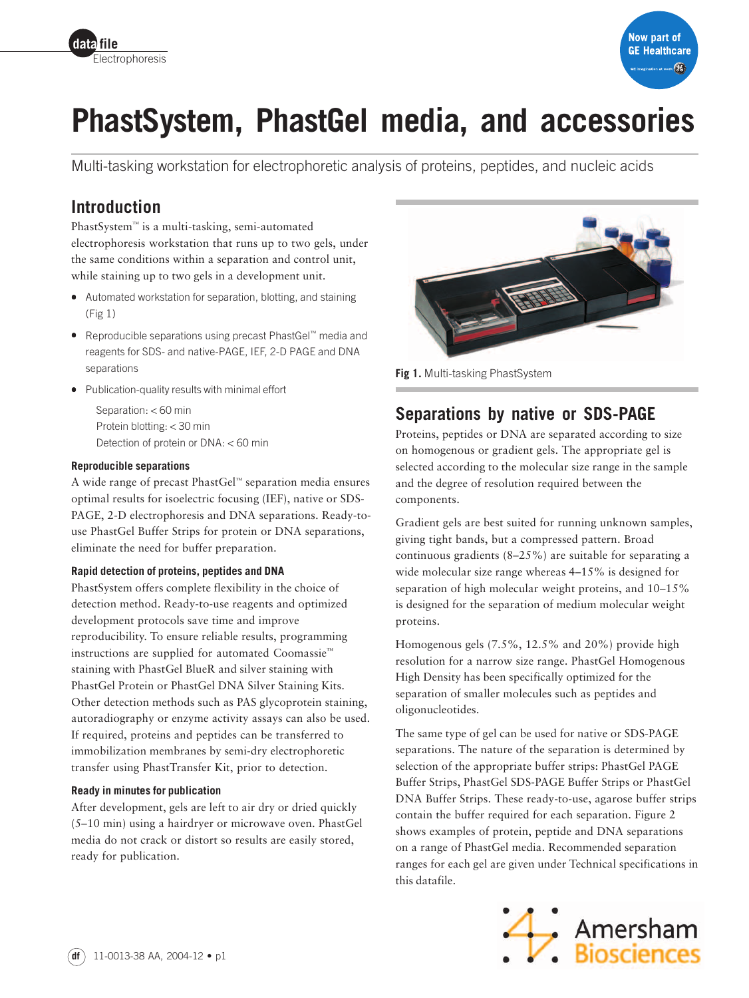



# **PhastSystem, PhastGel media, and accessories**

Multi-tasking workstation for electrophoretic analysis of proteins, peptides, and nucleic acids

# **Introduction**

PhastSystem™ is a multi-tasking, semi-automated electrophoresis workstation that runs up to two gels, under the same conditions within a separation and control unit, while staining up to two gels in a development unit.

- Automated workstation for separation, blotting, and staining (Fig 1)
- Reproducible separations using precast PhastGel™ media and reagents for SDS- and native-PAGE, IEF, 2-D PAGE and DNA separations
- Publication-quality results with minimal effort

Separation: < 60 min Protein blotting: < 30 min Detection of protein or DNA: < 60 min

### **Reproducible separations**

A wide range of precast PhastGel™ separation media ensures optimal results for isoelectric focusing (IEF), native or SDS-PAGE, 2-D electrophoresis and DNA separations. Ready-touse PhastGel Buffer Strips for protein or DNA separations, eliminate the need for buffer preparation.

### **Rapid detection of proteins, peptides and DNA**

PhastSystem offers complete flexibility in the choice of detection method. Ready-to-use reagents and optimized development protocols save time and improve reproducibility. To ensure reliable results, programming instructions are supplied for automated Coomassie™ staining with PhastGel BlueR and silver staining with PhastGel Protein or PhastGel DNA Silver Staining Kits. Other detection methods such as PAS glycoprotein staining, autoradiography or enzyme activity assays can also be used. If required, proteins and peptides can be transferred to immobilization membranes by semi-dry electrophoretic transfer using PhastTransfer Kit, prior to detection.

### **Ready in minutes for publication**

After development, gels are left to air dry or dried quickly (5–10 min) using a hairdryer or microwave oven. PhastGel media do not crack or distort so results are easily stored, ready for publication.



**Fig 1.** Multi-tasking PhastSystem

# **Separations by native or SDS-PAGE**

Proteins, peptides or DNA are separated according to size on homogenous or gradient gels. The appropriate gel is selected according to the molecular size range in the sample and the degree of resolution required between the components.

Gradient gels are best suited for running unknown samples, giving tight bands, but a compressed pattern. Broad continuous gradients (8–25%) are suitable for separating a wide molecular size range whereas 4–15% is designed for separation of high molecular weight proteins, and 10–15% is designed for the separation of medium molecular weight proteins.

Homogenous gels (7.5%, 12.5% and 20%) provide high resolution for a narrow size range. PhastGel Homogenous High Density has been specifically optimized for the separation of smaller molecules such as peptides and oligonucleotides.

The same type of gel can be used for native or SDS-PAGE separations. The nature of the separation is determined by selection of the appropriate buffer strips: PhastGel PAGE Buffer Strips, PhastGel SDS-PAGE Buffer Strips or PhastGel DNA Buffer Strips. These ready-to-use, agarose buffer strips contain the buffer required for each separation. Figure 2 shows examples of protein, peptide and DNA separations on a range of PhastGel media. Recommended separation ranges for each gel are given under Technical specifications in this datafile.

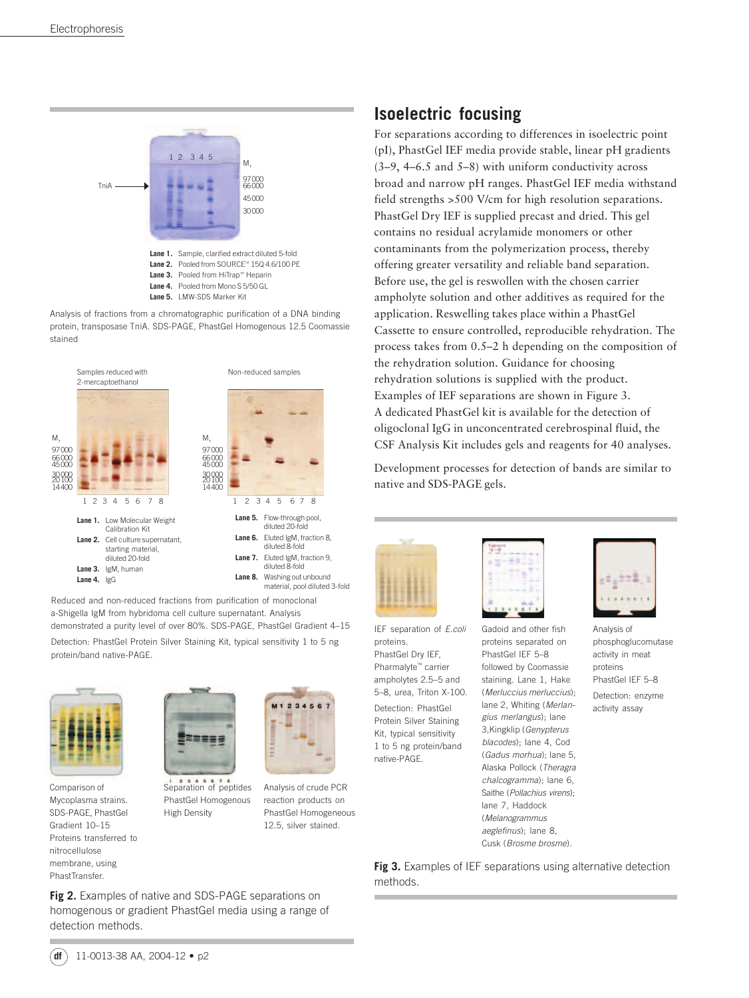





Reduced and non-reduced fractions from purification of monoclonal a-Shigella IgM from hybridoma cell culture supernatant. Analysis demonstrated a purity level of over 80%. SDS-PAGE, PhastGel Gradient 4–15 Detection: PhastGel Protein Silver Staining Kit, typical sensitivity 1 to 5 ng protein/band native-PAGE.



Comparison of Mycoplasma strains. SDS-PAGE, PhastGel Gradient 10–15 Proteins transferred to nitrocellulose membrane, using PhastTransfer.



Separation of peptides PhastGel Homogenous High Density

Analysis of crude PCR reaction products on PhastGel Homogeneous 12.5, silver stained.

### **Isoelectric focusing**

For separations according to differences in isoelectric point (pI), PhastGel IEF media provide stable, linear pH gradients (3–9, 4–6.5 and 5–8) with uniform conductivity across broad and narrow pH ranges. PhastGel IEF media withstand field strengths >500 V/cm for high resolution separations. PhastGel Dry IEF is supplied precast and dried. This gel contains no residual acrylamide monomers or other contaminants from the polymerization process, thereby offering greater versatility and reliable band separation. Before use, the gel is reswollen with the chosen carrier ampholyte solution and other additives as required for the application. Reswelling takes place within a PhastGel Cassette to ensure controlled, reproducible rehydration. The process takes from 0.5–2 h depending on the composition of the rehydration solution. Guidance for choosing rehydration solutions is supplied with the product. Examples of IEF separations are shown in Figure 3. A dedicated PhastGel kit is available for the detection of oligoclonal IgG in unconcentrated cerebrospinal fluid, the CSF Analysis Kit includes gels and reagents for 40 analyses.

Development processes for detection of bands are similar to native and SDS-PAGE gels.



IEF separation of E.coli proteins. PhastGel Dry IEF, Pharmalyte™ carrier ampholytes 2.5–5 and 5–8, urea, Triton X-100. Detection: PhastGel Protein Silver Staining Kit, typical sensitivity 1 to 5 ng protein/band native-PAGE.



Gadoid and other fish proteins separated on PhastGel IEF 5–8 followed by Coomassie staining. Lane 1, Hake (Merluccius merluccius); lane 2, Whiting (Merlangius merlangus); lane 3,Kingklip (Genypterus blacodes); lane 4, Cod (Gadus morhua); lane 5, Alaska Pollock (Theragra chalcogramma); lane 6, Saithe (Pollachius virens); lane 7, Haddock (Melanogrammus aeglefinus); lane 8, Cusk (Brosme brosme).



Analysis of phosphoglucomutase activity in meat proteins PhastGel IEF 5–8 Detection: enzyme activity assay

**Fig 3.** Examples of IEF separations using alternative detection methods.

**Fig 2.** Examples of native and SDS-PAGE separations on homogenous or gradient PhastGel media using a range of detection methods.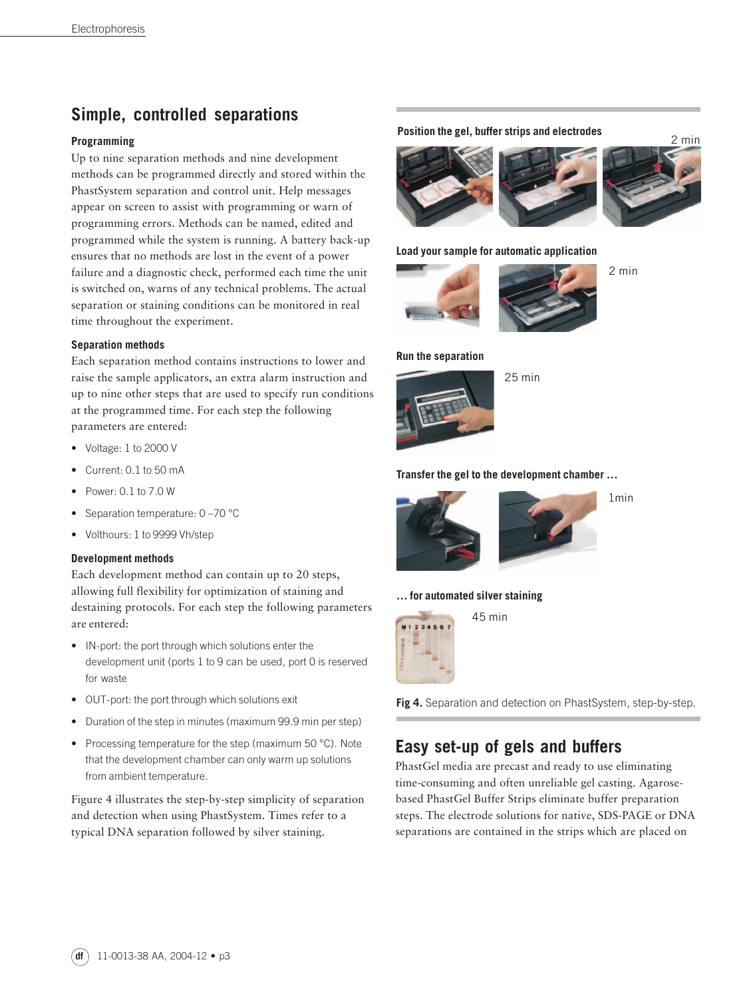### **Simple, controlled separations**

### **Programming**

Up to nine separation methods and nine development methods can be programmed directly and stored within the PhastSystem separation and control unit. Help messages appear on screen to assist with programming or warn of programming errors. Methods can be named, edited and programmed while the system is running. A battery back-up ensures that no methods are lost in the event of a power failure and a diagnostic check, performed each time the unit is switched on, warns of any technical problems. The actual separation or staining conditions can be monitored in real time throughout the experiment.

### **Separation methods**

Each separation method contains instructions to lower and raise the sample applicators, an extra alarm instruction and up to nine other steps that are used to specify run conditions at the programmed time. For each step the following parameters are entered:

- Voltage: 1 to 2000 V
- Current: 0.1 to 50 mA
- Power: 0.1 to 7.0 W
- Separation temperature: 0 –70 °C
- Volthours: 1 to 9999 Vh/step

#### **Development methods**

Each development method can contain up to 20 steps, allowing full flexibility for optimization of staining and destaining protocols. For each step the following parameters are entered:

- IN-port: the port through which solutions enter the development unit (ports 1 to 9 can be used, port 0 is reserved for waste
- OUT-port: the port through which solutions exit
- Duration of the step in minutes (maximum 99.9 min per step)
- Processing temperature for the step (maximum 50 °C). Note that the development chamber can only warm up solutions from ambient temperature.

Figure 4 illustrates the step-by-step simplicity of separation and detection when using PhastSystem. Times refer to a typical DNA separation followed by silver staining.

### **Position the gel, buffer strips and electrodes** 2 min



#### **Load your sample for automatic application**





2 min

#### **Run the separation**



25 min

### **Transfer the gel to the development chamber …**



#### **… for automated silver staining**



**Fig 4.** Separation and detection on PhastSystem, step-by-step.

### **Easy set-up of gels and buffers**

PhastGel media are precast and ready to use eliminating time-consuming and often unreliable gel casting. Agarosebased PhastGel Buffer Strips eliminate buffer preparation steps. The electrode solutions for native, SDS-PAGE or DNA separations are contained in the strips which are placed on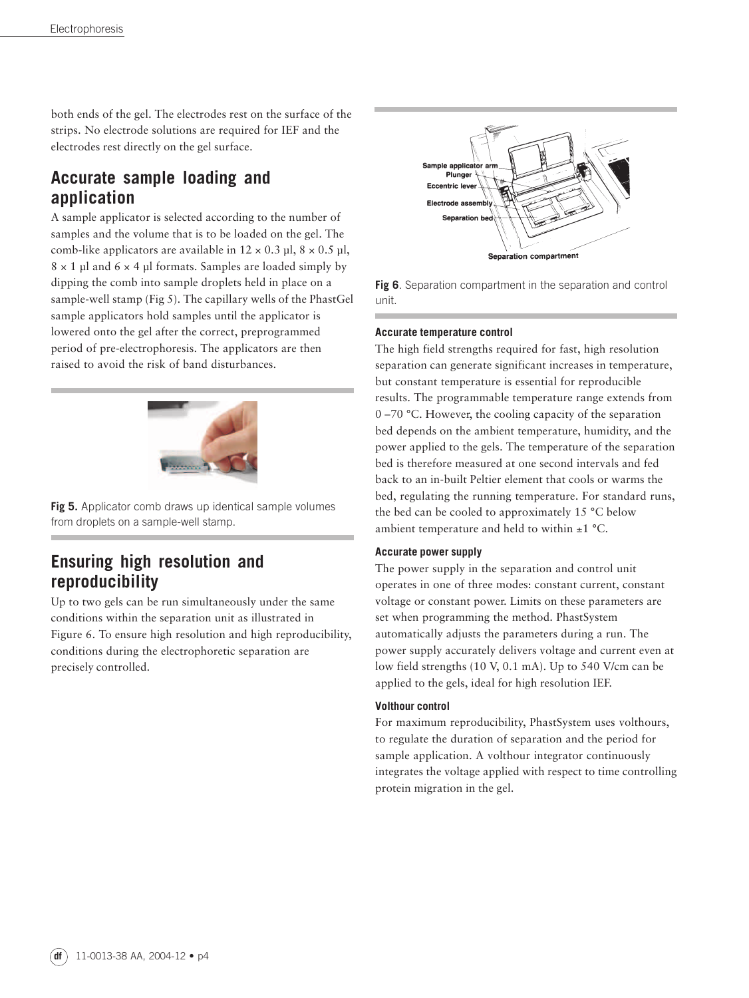both ends of the gel. The electrodes rest on the surface of the strips. No electrode solutions are required for IEF and the electrodes rest directly on the gel surface.

# **Accurate sample loading and application**

A sample applicator is selected according to the number of samples and the volume that is to be loaded on the gel. The comb-like applicators are available in  $12 \times 0.3$  µl,  $8 \times 0.5$  µl,  $8 \times 1$  µl and  $6 \times 4$  µl formats. Samples are loaded simply by dipping the comb into sample droplets held in place on a sample-well stamp (Fig 5). The capillary wells of the PhastGel sample applicators hold samples until the applicator is lowered onto the gel after the correct, preprogrammed period of pre-electrophoresis. The applicators are then raised to avoid the risk of band disturbances.



**Fig 5.** Applicator comb draws up identical sample volumes from droplets on a sample-well stamp.

# **Ensuring high resolution and reproducibility**

Up to two gels can be run simultaneously under the same conditions within the separation unit as illustrated in Figure 6. To ensure high resolution and high reproducibility, conditions during the electrophoretic separation are precisely controlled.



**Fig 6**. Separation compartment in the separation and control unit.

### **Accurate temperature control**

The high field strengths required for fast, high resolution separation can generate significant increases in temperature, but constant temperature is essential for reproducible results. The programmable temperature range extends from 0 –70 °C. However, the cooling capacity of the separation bed depends on the ambient temperature, humidity, and the power applied to the gels. The temperature of the separation bed is therefore measured at one second intervals and fed back to an in-built Peltier element that cools or warms the bed, regulating the running temperature. For standard runs, the bed can be cooled to approximately 15 °C below ambient temperature and held to within ±1 °C.

### **Accurate power supply**

The power supply in the separation and control unit operates in one of three modes: constant current, constant voltage or constant power. Limits on these parameters are set when programming the method. PhastSystem automatically adjusts the parameters during a run. The power supply accurately delivers voltage and current even at low field strengths (10 V, 0.1 mA). Up to 540 V/cm can be applied to the gels, ideal for high resolution IEF.

### **Volthour control**

For maximum reproducibility, PhastSystem uses volthours, to regulate the duration of separation and the period for sample application. A volthour integrator continuously integrates the voltage applied with respect to time controlling protein migration in the gel.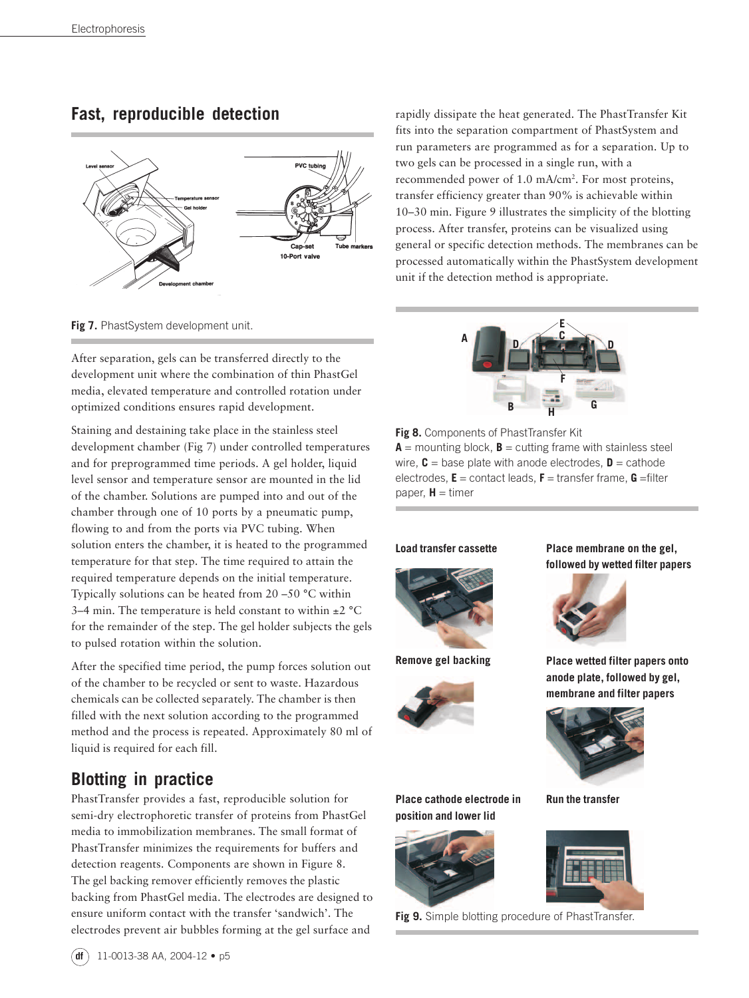### **Fast, reproducible detection**





After separation, gels can be transferred directly to the development unit where the combination of thin PhastGel media, elevated temperature and controlled rotation under optimized conditions ensures rapid development.

Staining and destaining take place in the stainless steel development chamber (Fig 7) under controlled temperatures and for preprogrammed time periods. A gel holder, liquid level sensor and temperature sensor are mounted in the lid of the chamber. Solutions are pumped into and out of the chamber through one of 10 ports by a pneumatic pump, flowing to and from the ports via PVC tubing. When solution enters the chamber, it is heated to the programmed temperature for that step. The time required to attain the required temperature depends on the initial temperature. Typically solutions can be heated from 20 –50 °C within 3–4 min. The temperature is held constant to within  $\pm 2$  °C for the remainder of the step. The gel holder subjects the gels to pulsed rotation within the solution.

After the specified time period, the pump forces solution out of the chamber to be recycled or sent to waste. Hazardous chemicals can be collected separately. The chamber is then filled with the next solution according to the programmed method and the process is repeated. Approximately 80 ml of liquid is required for each fill.

### **Blotting in practice**

PhastTransfer provides a fast, reproducible solution for semi-dry electrophoretic transfer of proteins from PhastGel media to immobilization membranes. The small format of PhastTransfer minimizes the requirements for buffers and detection reagents. Components are shown in Figure 8. The gel backing remover efficiently removes the plastic backing from PhastGel media. The electrodes are designed to ensure uniform contact with the transfer 'sandwich'. The electrodes prevent air bubbles forming at the gel surface and

rapidly dissipate the heat generated. The PhastTransfer Kit fits into the separation compartment of PhastSystem and run parameters are programmed as for a separation. Up to two gels can be processed in a single run, with a recommended power of 1.0 mA/cm2. For most proteins, transfer efficiency greater than 90% is achievable within 10–30 min. Figure 9 illustrates the simplicity of the blotting process. After transfer, proteins can be visualized using general or specific detection methods. The membranes can be processed automatically within the PhastSystem development unit if the detection method is appropriate.



**Fig 8.** Components of PhastTransfer Kit  $A =$  mounting block,  $B =$  cutting frame with stainless steel wire,  $C =$  base plate with anode electrodes,  $D =$  cathode electrodes, **E** = contact leads, **F** = transfer frame, **G** =filter paper,  $H =$  timer







**position and lower lid**

**followed by wetted filter papers**



**Remove gel backing Place wetted filter papers onto anode plate, followed by gel, membrane and filter papers**



**Place cathode electrode in Run the transfer**



**Fig 9.** Simple blotting procedure of PhastTransfer.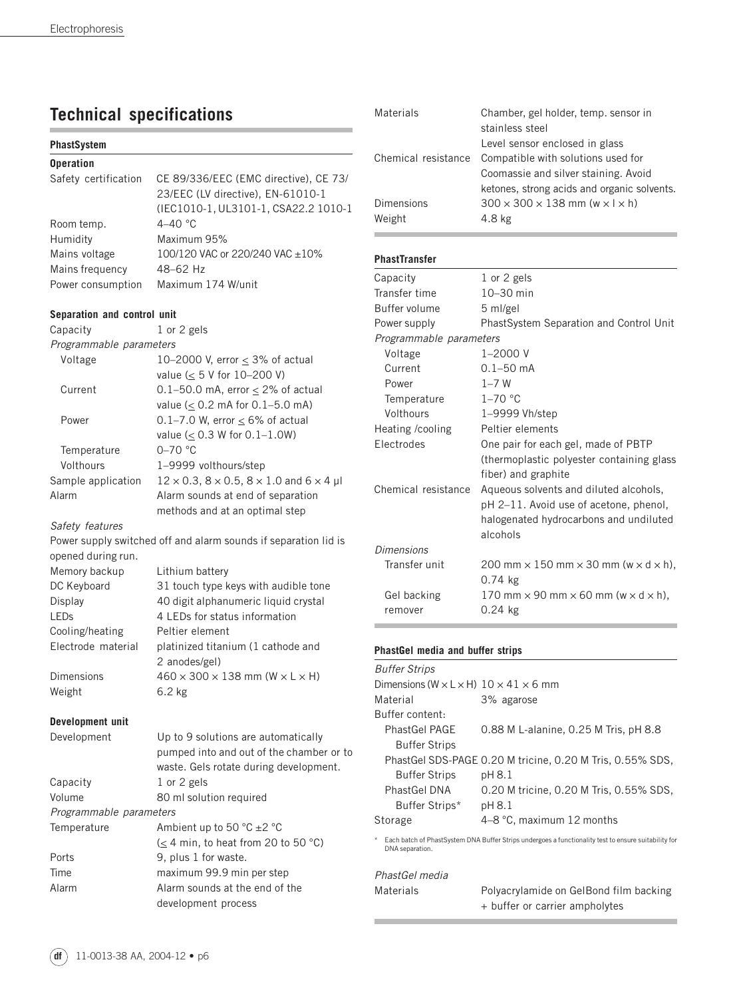# **Technical specifications**

| <b>PhastSystem</b>          |                                       |
|-----------------------------|---------------------------------------|
| <b>Operation</b>            |                                       |
| Safety certification        | CE 89/336/EEC (EMC directive), CE 73/ |
|                             | 23/EEC (LV directive), EN-61010-1     |
|                             | (IEC1010-1, UL3101-1, CSA22.2 1010-1  |
| Room temp.                  | 4–40 $\degree$ C                      |
| Humidity                    | Maximum 95%                           |
| Mains voltage               | 100/120 VAC or 220/240 VAC $\pm 10\%$ |
| Mains frequency             | 48-62 Hz                              |
| Power consumption           | Maximum 174 W/unit                    |
| Separation and control unit |                                       |
|                             |                                       |

Capacity 1 or 2 gels Programmable parameters Voltage  $10-2000$  V, error  $\leq 3\%$  of actual value ( $\leq$  5 V for 10-200 V) Current  $0.1-50.0$  mA, error  $\leq 2\%$  of actual value (< 0.2 mA for 0.1–5.0 mA) Power 0.1–7.0 W, error  $\leq 6\%$  of actual value (< 0.3 W for 0.1–1.0W) Temperature 0-70 °C Volthours 1–9999 volthours/step Sample application  $12 \times 0.3$ ,  $8 \times 0.5$ ,  $8 \times 1.0$  and  $6 \times 4$  µl Alarm Alarm sounds at end of separation methods and at an optimal step Safety features Power supply switched off and alarm sounds if separation lid is opened during run. Memory backup Lithium battery DC Keyboard 31 touch type keys with audible tone Display 40 digit alphanumeric liquid crystal LEDs 4 LEDs for status information Cooling/heating Peltier element Electrode material platinized titanium (1 cathode and 2 anodes/gel) Dimensions  $460 \times 300 \times 138$  mm (W  $\times$  L  $\times$  H) Weight 6.2 kg

#### **Development unit**

| Development             | Up to 9 solutions are automatically                |  |  |
|-------------------------|----------------------------------------------------|--|--|
|                         | pumped into and out of the chamber or to           |  |  |
|                         | waste. Gels rotate during development.             |  |  |
| Capacity                | 1 or 2 gels                                        |  |  |
| Volume                  | 80 ml solution required                            |  |  |
| Programmable parameters |                                                    |  |  |
| Temperature             | Ambient up to 50 $^{\circ}$ C $\pm$ 2 $^{\circ}$ C |  |  |
|                         | $(< 4$ min, to heat from 20 to 50 °C)              |  |  |
| Ports                   | 9, plus 1 for waste.                               |  |  |
| Time                    | maximum 99.9 min per step                          |  |  |
| Alarm                   | Alarm sounds at the end of the                     |  |  |
|                         | development process                                |  |  |

| Materials               | Chamber, gel holder, temp. sensor in<br>stainless steel                                                                                |  |  |  |  |
|-------------------------|----------------------------------------------------------------------------------------------------------------------------------------|--|--|--|--|
| Chemical resistance     | Level sensor enclosed in glass<br>Compatible with solutions used for<br>Coomassie and silver staining. Avoid                           |  |  |  |  |
| Dimensions              | ketones, strong acids and organic solvents.<br>$300 \times 300 \times 138$ mm (w $\times$   $\times$ h)                                |  |  |  |  |
| Weight                  | 4.8 kg                                                                                                                                 |  |  |  |  |
| <b>PhastTransfer</b>    |                                                                                                                                        |  |  |  |  |
| Capacity                | 1 or 2 gels                                                                                                                            |  |  |  |  |
| Transfer time           | 10-30 min                                                                                                                              |  |  |  |  |
| Buffer volume           | 5 ml/gel                                                                                                                               |  |  |  |  |
| Power supply            | PhastSystem Separation and Control Unit                                                                                                |  |  |  |  |
| Programmable parameters |                                                                                                                                        |  |  |  |  |
| Voltage                 | $1 - 2000V$                                                                                                                            |  |  |  |  |
| Current                 | $0.1 - 50$ mA                                                                                                                          |  |  |  |  |
| Power                   | $1 - 7$ W                                                                                                                              |  |  |  |  |
| Temperature             | $1-70$ °C                                                                                                                              |  |  |  |  |
| Volthours               | 1-9999 Vh/step                                                                                                                         |  |  |  |  |
| Heating /cooling        | Peltier elements                                                                                                                       |  |  |  |  |
| Electrodes              | One pair for each gel, made of PBTP<br>(thermoplastic polyester containing glass<br>fiber) and graphite                                |  |  |  |  |
| Chemical resistance     | Aqueous solvents and diluted alcohols,<br>pH 2-11. Avoid use of acetone, phenol,<br>halogenated hydrocarbons and undiluted<br>alcohols |  |  |  |  |
| <b>Dimensions</b>       |                                                                                                                                        |  |  |  |  |
| Transfer unit           | 200 mm $\times$ 150 mm $\times$ 30 mm (w $\times$ d $\times$ h),<br>$0.74$ kg                                                          |  |  |  |  |
| Gel backing             | 170 mm $\times$ 90 mm $\times$ 60 mm (w $\times$ d $\times$ h),                                                                        |  |  |  |  |
| remover                 | 0.24 kg                                                                                                                                |  |  |  |  |

### **PhastGel media and buffer strips**

| <b>Buffer Strips</b>                                            |                                                                                                      |  |  |  |  |
|-----------------------------------------------------------------|------------------------------------------------------------------------------------------------------|--|--|--|--|
| Dimensions ( $W \times L \times H$ ) $10 \times 41 \times 6$ mm |                                                                                                      |  |  |  |  |
| Material                                                        | 3% agarose                                                                                           |  |  |  |  |
| Buffer content:                                                 |                                                                                                      |  |  |  |  |
| <b>PhastGel PAGE</b>                                            | 0.88 M L-alanine, 0.25 M Tris, pH 8.8                                                                |  |  |  |  |
| <b>Buffer Strips</b>                                            |                                                                                                      |  |  |  |  |
|                                                                 | PhastGel SDS-PAGE 0.20 M tricine, 0.20 M Tris, 0.55% SDS,                                            |  |  |  |  |
| <b>Buffer Strips</b>                                            | pH 8.1                                                                                               |  |  |  |  |
| PhastGel DNA                                                    | 0.20 M tricine, 0.20 M Tris, 0.55% SDS,                                                              |  |  |  |  |
| Buffer Strips*                                                  | pH 8.1                                                                                               |  |  |  |  |
| Storage                                                         | 4-8 °C, maximum 12 months                                                                            |  |  |  |  |
| $^{\star}$<br>DNA separation.                                   | Each batch of PhastSystem DNA Buffer Strips undergoes a functionality test to ensure suitability for |  |  |  |  |
| PhastGel media                                                  |                                                                                                      |  |  |  |  |
| Materials                                                       | Polyacrylamide on GelBond film backing<br>+ buffer or carrier ampholytes                             |  |  |  |  |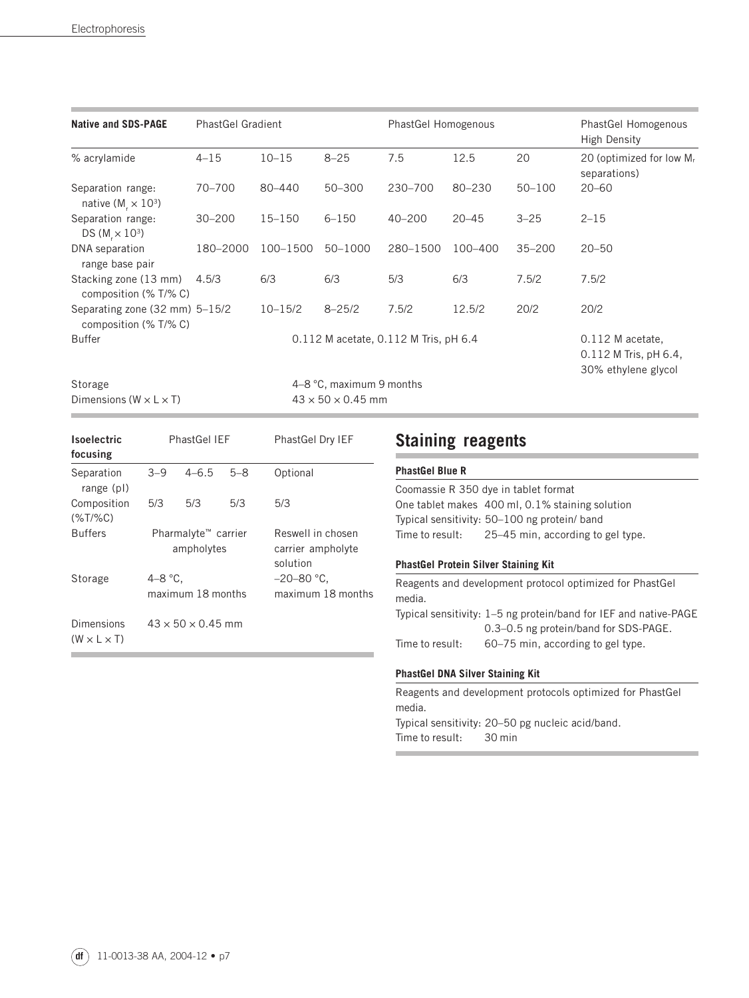| <b>Native and SDS-PAGE</b>                                        | <b>PhastGel Gradient</b> |                                       | PhastGel Homogenous           |            |            | PhastGel Homogenous<br><b>High Density</b> |                                                                    |
|-------------------------------------------------------------------|--------------------------|---------------------------------------|-------------------------------|------------|------------|--------------------------------------------|--------------------------------------------------------------------|
| % acrylamide                                                      | $4 - 15$                 | $10 - 15$                             | $8 - 25$                      | 7.5        | 12.5       | 20                                         | 20 (optimized for low Mr<br>separations)                           |
| Separation range:<br>native ( $M_r \times 10^3$ )                 | 70-700                   | 80-440                                | 50-300                        | 230-700    | $80 - 230$ | $50 - 100$                                 | $20 - 60$                                                          |
| Separation range:<br>DS ( $M_{\star} \times 10^{3}$ )             | $30 - 200$               | $15 - 150$                            | $6 - 150$                     | $40 - 200$ | $20 - 45$  | $3 - 25$                                   | $2 - 15$                                                           |
| DNA separation<br>range base pair                                 | 180-2000                 | 100-1500                              | 50-1000                       | 280-1500   | 100-400    | $35 - 200$                                 | $20 - 50$                                                          |
| Stacking zone (13 mm)<br>composition (% T/% C)                    | 4.5/3                    | 6/3                                   | 6/3                           | 5/3        | 6/3        | 7.5/2                                      | 7.5/2                                                              |
| Separating zone $(32 \text{ mm})$ 5-15/2<br>composition (% T/% C) |                          | $10 - 15/2$                           | $8 - 25/2$                    | 7.5/2      | 12.5/2     | 20/2                                       | 20/2                                                               |
| <b>Buffer</b>                                                     |                          | 0.112 M acetate, 0.112 M Tris, pH 6.4 |                               |            |            |                                            | 0.112 M acetate,<br>$0.112$ M Tris, pH 6.4,<br>30% ethylene glycol |
| Storage                                                           |                          | 4–8 $\degree$ C, maximum 9 months     |                               |            |            |                                            |                                                                    |
| Dimensions ( $W \times L \times T$ )                              |                          |                                       | $43 \times 50 \times 0.45$ mm |            |            |                                            |                                                                    |

| <b>Isoelectric</b><br>focusing        | PhastGel IFF                                  |           |         | <b>PhastGel Dry IEF</b>                            |  |
|---------------------------------------|-----------------------------------------------|-----------|---------|----------------------------------------------------|--|
| Separation<br>range (pl)              | $3 - 9$                                       | $4 - 6.5$ | $5 - 8$ | Optional                                           |  |
| Composition<br>$(%T/\%C)$             | 5/3                                           | 5/3       | 5/3     | 5/3                                                |  |
| <b>Buffers</b>                        | Pharmalyte <sup>™</sup> carrier<br>ampholytes |           |         | Reswell in chosen<br>carrier ampholyte<br>solution |  |
| Storage                               | 4 $-8$ °C.<br>maximum 18 months               |           |         | $-20-80$ °C.<br>maximum 18 months                  |  |
| Dimensions<br>$(W \times L \times T)$ | $43 \times 50 \times 0.45$ mm                 |           |         |                                                    |  |

# **Staining reagents**

### **PhastGel Blue R**

|                 | Coomassie R 350 dye in tablet format            |
|-----------------|-------------------------------------------------|
|                 | One tablet makes 400 ml, 0.1% staining solution |
|                 | Typical sensitivity: 50–100 ng protein/band     |
| Time to result: | 25–45 min, according to gel type.               |

### **PhastGel Protein Silver Staining Kit**

|                 | Reagents and development protocol optimized for PhastGel         |
|-----------------|------------------------------------------------------------------|
| media.          |                                                                  |
|                 | Typical sensitivity: 1–5 ng protein/band for IEF and native-PAGE |
|                 | 0.3–0.5 ng protein/band for SDS-PAGE.                            |
| Time to result: | 60-75 min, according to gel type.                                |

### **PhastGel DNA Silver Staining Kit**

Reagents and development protocols optimized for PhastGel media. Typical sensitivity: 20–50 pg nucleic acid/band. Time to result: 30 min